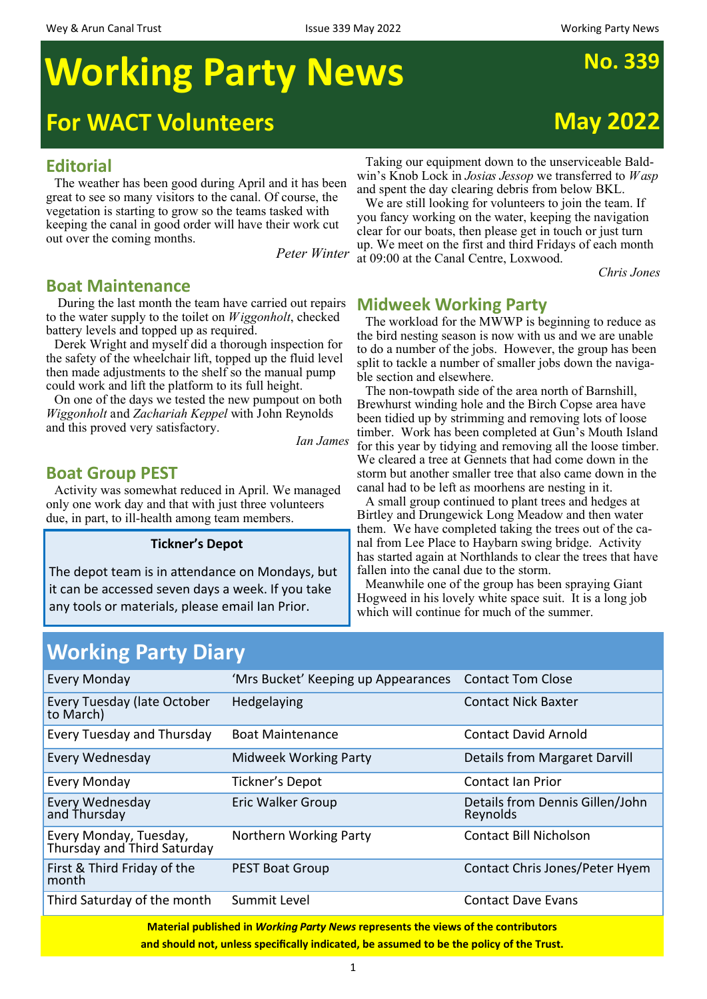# **Working Party News** No. 339

# **For WACT Volunteers May 2022**

#### **Editorial**

The weather has been good during April and it has been great to see so many visitors to the canal. Of course, the vegetation is starting to grow so the teams tasked with keeping the canal in good order will have their work cut out over the coming months.

*Peter Winter* 

#### **Boat Maintenance**

 During the last month the team have carried out repairs to the water supply to the toilet on *Wiggonholt*, checked battery levels and topped up as required.

Derek Wright and myself did a thorough inspection for the safety of the wheelchair lift, topped up the fluid level then made adjustments to the shelf so the manual pump could work and lift the platform to its full height.

On one of the days we tested the new pumpout on both *Wiggonholt* and *Zachariah Keppel* with John Reynolds and this proved very satisfactory.

*Ian James* 

### **Boat Group PEST**

Activity was somewhat reduced in April. We managed only one work day and that with just three volunteers due, in part, to ill-health among team members.

#### **Tickner's Depot**

The depot team is in attendance on Mondays, but it can be accessed seven days a week. If you take any tools or materials, please email Ian Prior.

Taking our equipment down to the unserviceable Baldwin's Knob Lock in *Josias Jessop* we transferred to *Wasp*  and spent the day clearing debris from below BKL.

We are still looking for volunteers to join the team. If you fancy working on the water, keeping the navigation clear for our boats, then please get in touch or just turn up. We meet on the first and third Fridays of each month at 09:00 at the Canal Centre, Loxwood.

*Chris Jones* 

#### **Midweek Working Party**

The workload for the MWWP is beginning to reduce as the bird nesting season is now with us and we are unable to do a number of the jobs. However, the group has been split to tackle a number of smaller jobs down the navigable section and elsewhere.

The non-towpath side of the area north of Barnshill, Brewhurst winding hole and the Birch Copse area have been tidied up by strimming and removing lots of loose timber. Work has been completed at Gun's Mouth Island for this year by tidying and removing all the loose timber. We cleared a tree at Gennets that had come down in the storm but another smaller tree that also came down in the canal had to be left as moorhens are nesting in it.

A small group continued to plant trees and hedges at Birtley and Drungewick Long Meadow and then water them. We have completed taking the trees out of the canal from Lee Place to Haybarn swing bridge. Activity has started again at Northlands to clear the trees that have fallen into the canal due to the storm.

Meanwhile one of the group has been spraying Giant Hogweed in his lovely white space suit. It is a long job which will continue for much of the summer.

| <b>Working Party Diary</b>                                                               |                                     |                                             |  |  |
|------------------------------------------------------------------------------------------|-------------------------------------|---------------------------------------------|--|--|
| <b>Every Monday</b>                                                                      | 'Mrs Bucket' Keeping up Appearances | <b>Contact Tom Close</b>                    |  |  |
| Every Tuesday (late October<br>to March)                                                 | Hedgelaying                         | <b>Contact Nick Baxter</b>                  |  |  |
| Every Tuesday and Thursday                                                               | <b>Boat Maintenance</b>             | <b>Contact David Arnold</b>                 |  |  |
| Every Wednesday                                                                          | <b>Midweek Working Party</b>        | Details from Margaret Darvill               |  |  |
| Every Monday                                                                             | Tickner's Depot                     | Contact Ian Prior                           |  |  |
| Every Wednesday<br>and Thursday                                                          | Eric Walker Group                   | Details from Dennis Gillen/John<br>Reynolds |  |  |
| Every Monday, Tuesday,<br>Thursday and Third Saturday                                    | Northern Working Party              | <b>Contact Bill Nicholson</b>               |  |  |
| First & Third Friday of the<br>month                                                     | <b>PEST Boat Group</b>              | Contact Chris Jones/Peter Hyem              |  |  |
| Third Saturday of the month                                                              | Summit Level                        | <b>Contact Dave Evans</b>                   |  |  |
| <b>Material published in Working Party News represents the views of the contributors</b> |                                     |                                             |  |  |

**and should not, unless specifically indicated, be assumed to be the policy of the Trust.**